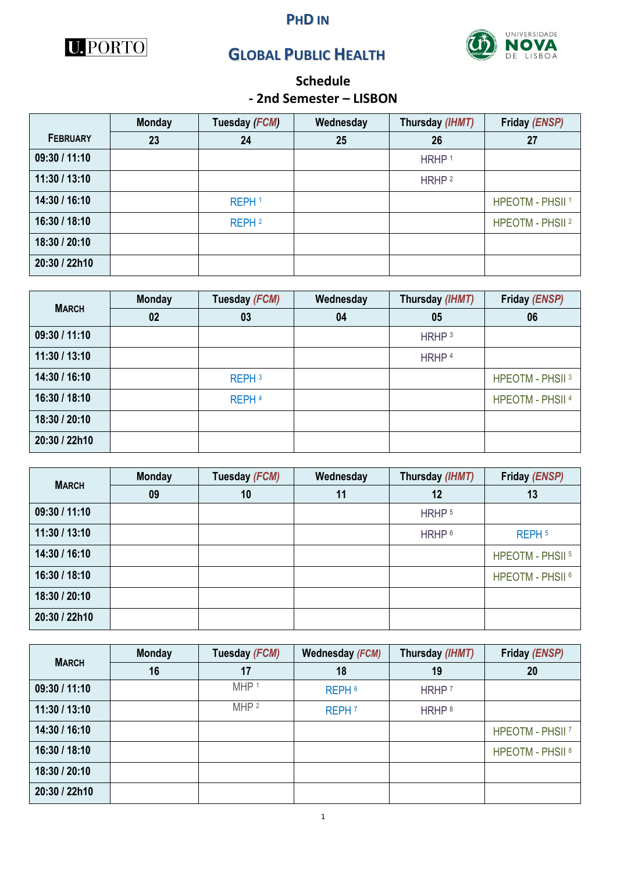







# **Schedule**

### **- 2nd Semester – LISBON**

|                 | <b>Monday</b> | Tuesday (FCM)     | Wednesday | Thursday (IHMT)   | Friday (ENSP)               |
|-----------------|---------------|-------------------|-----------|-------------------|-----------------------------|
| <b>FEBRUARY</b> | 23            | 24                | 25        | 26                | 27                          |
| 09:30 / 11:10   |               |                   |           | HRHP <sup>1</sup> |                             |
| 11:30 / 13:10   |               |                   |           | HRHP <sup>2</sup> |                             |
| 14:30 / 16:10   |               | REPH <sup>1</sup> |           |                   | <b>HPEOTM - PHSII 1</b>     |
| 16:30 / 18:10   |               | REPH <sup>2</sup> |           |                   | HPEOTM - PHSII <sup>2</sup> |
| 18:30 / 20:10   |               |                   |           |                   |                             |
| 20:30 / 22h10   |               |                   |           |                   |                             |

| <b>MARCH</b>  | <b>Monday</b> | Tuesday (FCM)     | Wednesday | Thursday (IHMT)   | Friday (ENSP)               |
|---------------|---------------|-------------------|-----------|-------------------|-----------------------------|
|               | 02            | 03                | 04        | 05                | 06                          |
| 09:30 / 11:10 |               |                   |           | HRHP <sup>3</sup> |                             |
| 11:30 / 13:10 |               |                   |           | HRHP <sup>4</sup> |                             |
| 14:30 / 16:10 |               | REPH <sup>3</sup> |           |                   | HPEOTM - PHSII <sup>3</sup> |
| 16:30 / 18:10 |               | REPH <sup>4</sup> |           |                   | <b>HPEOTM - PHSII 4</b>     |
| 18:30 / 20:10 |               |                   |           |                   |                             |
| 20:30 / 22h10 |               |                   |           |                   |                             |

| <b>MARCH</b>  | <b>Monday</b> | Tuesday (FCM) | Wednesday | Thursday (IHMT)   | Friday (ENSP)               |
|---------------|---------------|---------------|-----------|-------------------|-----------------------------|
|               | 09            | 10            | 11        | 12                | 13                          |
| 09:30 / 11:10 |               |               |           | HRHP <sup>5</sup> |                             |
| 11:30 / 13:10 |               |               |           | HRHP <sup>6</sup> | REPH <sub>5</sub>           |
| 14:30 / 16:10 |               |               |           |                   | HPEOTM - PHSII <sup>5</sup> |
| 16:30 / 18:10 |               |               |           |                   | HPEOTM - PHSII <sup>6</sup> |
| 18:30 / 20:10 |               |               |           |                   |                             |
| 20:30 / 22h10 |               |               |           |                   |                             |

| <b>MARCH</b>  | <b>Monday</b> | Tuesday (FCM)    | Wednesday (FCM)   | Thursday (IHMT)   | Friday (ENSP)               |
|---------------|---------------|------------------|-------------------|-------------------|-----------------------------|
|               | 16            | 17               | 18                | 19                | 20                          |
| 09:30 / 11:10 |               | MHP <sup>1</sup> | REPH <sub>6</sub> | HRHP <sup>7</sup> |                             |
| 11:30 / 13:10 |               | MHP <sup>2</sup> | REPH <sup>7</sup> | HRHP <sup>8</sup> |                             |
| 14:30 / 16:10 |               |                  |                   |                   | HPEOTM - PHSII <sup>7</sup> |
| 16:30 / 18:10 |               |                  |                   |                   | HPEOTM - PHSII <sup>8</sup> |
| 18:30 / 20:10 |               |                  |                   |                   |                             |
| 20:30 / 22h10 |               |                  |                   |                   |                             |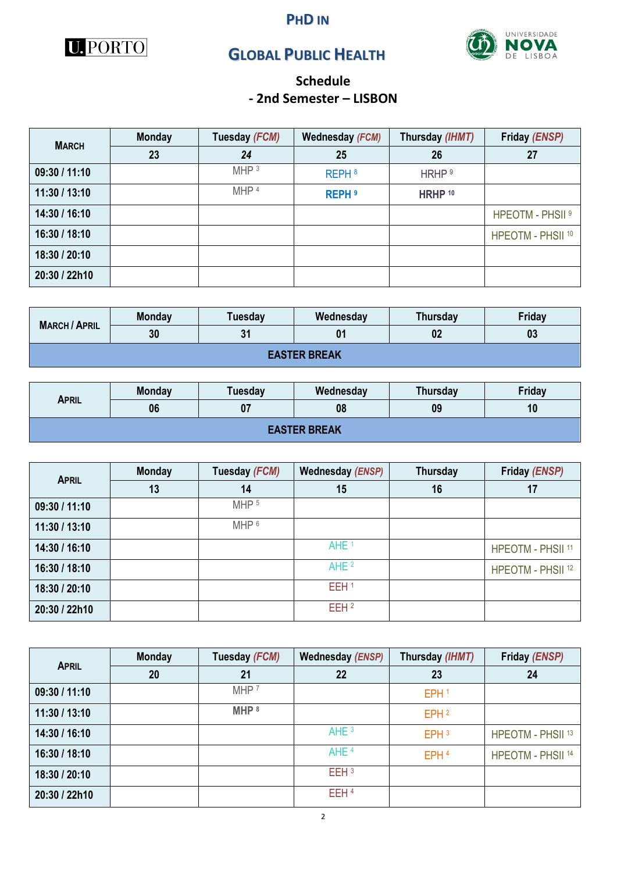

#### **PHD IN**



# **GLOBAL PUBLIC HEALTH**

## **Schedule - 2nd Semester – LISBON**

| <b>MARCH</b>  | <b>Monday</b> | Tuesday (FCM)    | Wednesday (FCM)   | Thursday (IHMT)    | Friday (ENSP)                |
|---------------|---------------|------------------|-------------------|--------------------|------------------------------|
|               | 23            | 24               | 25                | 26                 | 27                           |
| 09:30 / 11:10 |               | MHP <sup>3</sup> | REPH <sup>8</sup> | HRHP <sup>9</sup>  |                              |
| 11:30 / 13:10 |               | MHP <sup>4</sup> | <b>REPH 9</b>     | HRHP <sup>10</sup> |                              |
| 14:30 / 16:10 |               |                  |                   |                    | HPEOTM - PHSII <sup>9</sup>  |
| 16:30 / 18:10 |               |                  |                   |                    | HPEOTM - PHSII <sup>10</sup> |
| 18:30 / 20:10 |               |                  |                   |                    |                              |
| 20:30 / 22h10 |               |                  |                   |                    |                              |

| <b>MARCH / APRIL</b> | Monday | Tuesday | Wednesday | <b>Thursday</b> | Friday |  |  |  |
|----------------------|--------|---------|-----------|-----------------|--------|--|--|--|
|                      | 30     | 24      | 01        | 02              | 03     |  |  |  |
| <b>EASTER BREAK</b>  |        |         |           |                 |        |  |  |  |

| <b>APRIL</b>        | <b>Monday</b> | <b>Tuesday</b> | Wednesday | Thursday | Friday |  |  |  |
|---------------------|---------------|----------------|-----------|----------|--------|--|--|--|
|                     | 06            |                | 08        | 09       | 10     |  |  |  |
| <b>EASTER BREAK</b> |               |                |           |          |        |  |  |  |

| <b>APRIL</b>  | <b>Monday</b> | Tuesday (FCM)    | Wednesday (ENSP) | Thursday | Friday (ENSP)                |
|---------------|---------------|------------------|------------------|----------|------------------------------|
|               | 13            | 14               | 15               | 16       | 17                           |
| 09:30 / 11:10 |               | MHP <sub>5</sub> |                  |          |                              |
| 11:30 / 13:10 |               | MHP <sup>6</sup> |                  |          |                              |
| 14:30 / 16:10 |               |                  | AHE <sup>1</sup> |          | <b>HPEOTM - PHSII 11</b>     |
| 16:30 / 18:10 |               |                  | AHE <sup>2</sup> |          | HPEOTM - PHSII <sup>12</sup> |
| 18:30 / 20:10 |               |                  | EEH <sup>1</sup> |          |                              |
| 20:30 / 22h10 |               |                  | EEH <sup>2</sup> |          |                              |

| <b>APRIL</b>  | <b>Monday</b> | Tuesday (FCM)      | Wednesday (ENSP) | Thursday (IHMT)  | Friday (ENSP)                |
|---------------|---------------|--------------------|------------------|------------------|------------------------------|
|               | 20            | 21                 | 22               | 23               | 24                           |
| 09:30 / 11:10 |               | MHP <sup>7</sup>   |                  | EPH <sub>1</sub> |                              |
| 11:30 / 13:10 |               | $MHP$ <sup>8</sup> |                  | EPH <sub>2</sub> |                              |
| 14:30 / 16:10 |               |                    | AHE <sup>3</sup> | EPH <sub>3</sub> | HPEOTM - PHSII <sup>13</sup> |
| 16:30 / 18:10 |               |                    | AHE <sup>4</sup> | EPH <sup>4</sup> | HPEOTM - PHSII <sup>14</sup> |
| 18:30 / 20:10 |               |                    | EEH <sub>3</sub> |                  |                              |
| 20:30 / 22h10 |               |                    | EEH <sup>4</sup> |                  |                              |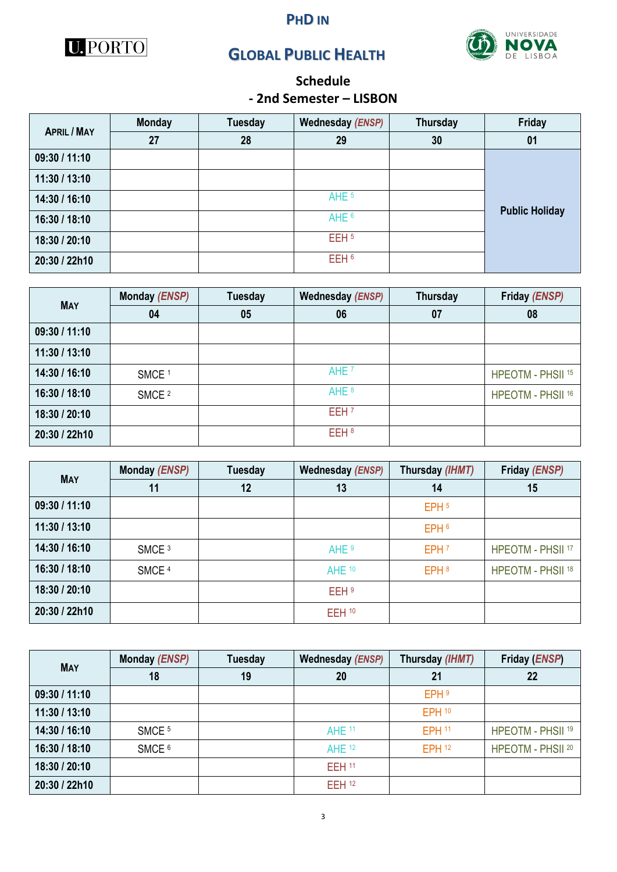





# **Schedule**

## **- 2nd Semester – LISBON**

| <b>APRIL / MAY</b> | <b>Monday</b> | <b>Tuesday</b> | Wednesday (ENSP) | Thursday | Friday                |
|--------------------|---------------|----------------|------------------|----------|-----------------------|
|                    | 27            | 28             | 29               | 30       | 01                    |
| 09:30 / 11:10      |               |                |                  |          |                       |
| 11:30 / 13:10      |               |                |                  |          |                       |
| 14:30 / 16:10      |               |                | AHE <sup>5</sup> |          |                       |
| 16:30 / 18:10      |               |                | AHE <sup>6</sup> |          | <b>Public Holiday</b> |
| 18:30 / 20:10      |               |                | EEH <sub>5</sub> |          |                       |
| 20:30 / 22h10      |               |                | EEH <sup>6</sup> |          |                       |

| <b>MAY</b>    | Monday (ENSP)     | Tuesday | Wednesday (ENSP) | Thursday | Friday (ENSP)                |
|---------------|-------------------|---------|------------------|----------|------------------------------|
|               | 04                | 05      | 06               | 07       | 08                           |
| 09:30 / 11:10 |                   |         |                  |          |                              |
| 11:30 / 13:10 |                   |         |                  |          |                              |
| 14:30 / 16:10 | SMCE <sup>1</sup> |         | AHE <sup>7</sup> |          | HPEOTM - PHSII <sup>15</sup> |
| 16:30 / 18:10 | SMCE <sup>2</sup> |         | AHE <sup>8</sup> |          | HPEOTM - PHSII 16            |
| 18:30 / 20:10 |                   |         | EEH <sub>7</sub> |          |                              |
| 20:30 / 22h10 |                   |         | EEH <sup>8</sup> |          |                              |

| <b>MAY</b>    | Monday (ENSP)     | <b>Tuesday</b> | <b>Wednesday (ENSP)</b> | Thursday (IHMT)  | Friday (ENSP)                |
|---------------|-------------------|----------------|-------------------------|------------------|------------------------------|
|               | 11                | 12             | 13                      | 14               | 15                           |
| 09:30 / 11:10 |                   |                |                         | EPH <sub>5</sub> |                              |
| 11:30 / 13:10 |                   |                |                         | EPH 6            |                              |
| 14:30 / 16:10 | SMCE <sup>3</sup> |                | AHE <sup>9</sup>        | EPH <sub>7</sub> | <b>HPEOTM - PHSII 17</b>     |
| 16:30 / 18:10 | SMCE <sup>4</sup> |                | AHE 10                  | EPH <sup>8</sup> | HPEOTM - PHSII <sup>18</sup> |
| 18:30 / 20:10 |                   |                | EEH <sup>9</sup>        |                  |                              |
| 20:30 / 22h10 |                   |                | $EEH$ <sup>10</sup>     |                  |                              |

| <b>MAY</b>    | Monday (ENSP)     | Tuesday | <b>Wednesday (ENSP)</b> | Thursday (IHMT)   | Friday ( <i>ENSP</i> )       |
|---------------|-------------------|---------|-------------------------|-------------------|------------------------------|
|               | 18                | 19      | 20                      | 21                | 22                           |
| 09:30 / 11:10 |                   |         |                         | EPH <sup>9</sup>  |                              |
| 11:30 / 13:10 |                   |         |                         | EPH <sub>10</sub> |                              |
| 14:30 / 16:10 | SMCE <sup>5</sup> |         | <b>AHE 11</b>           | <b>EPH 11</b>     | HPEOTM - PHSII <sup>19</sup> |
| 16:30 / 18:10 | SMCE <sup>6</sup> |         | AHE <sup>12</sup>       | EPH <sup>12</sup> | HPEOTM - PHSII 20            |
| 18:30 / 20:10 |                   |         | <b>EEH 11</b>           |                   |                              |
| 20:30 / 22h10 |                   |         | <b>EEH 12</b>           |                   |                              |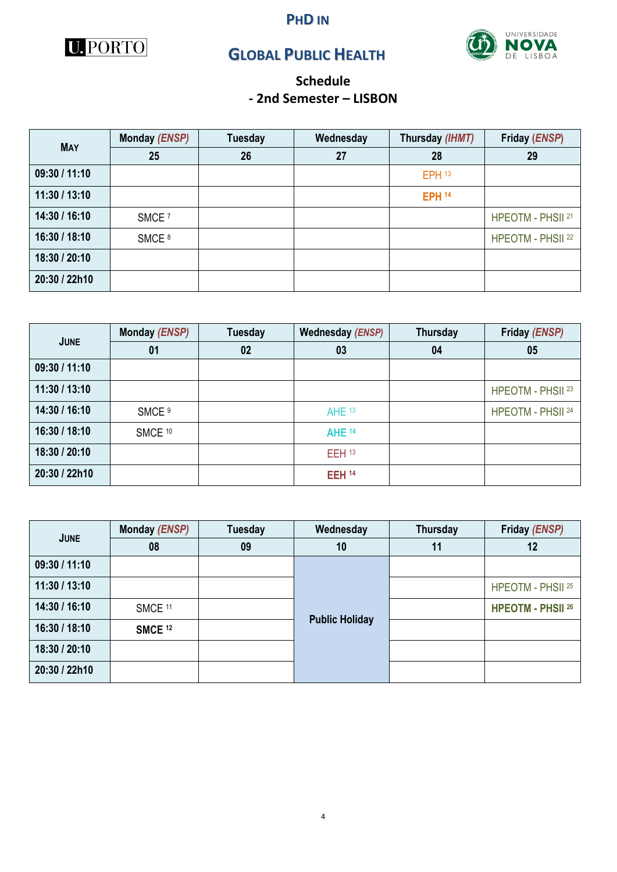



**PHD IN**



## **Schedule - 2nd Semester – LISBON**

| <b>MAY</b>    | Monday (ENSP)     | <b>Tuesday</b> | Wednesday | Thursday (IHMT)   | Friday (ENSP)     |
|---------------|-------------------|----------------|-----------|-------------------|-------------------|
|               | 25                | 26             | 27        | 28                | 29                |
| 09:30 / 11:10 |                   |                |           | EPH <sub>13</sub> |                   |
| 11:30 / 13:10 |                   |                |           | <b>EPH 14</b>     |                   |
| 14:30 / 16:10 | SMCE <sup>7</sup> |                |           |                   | HPEOTM - PHSII 21 |
| 16:30 / 18:10 | SMCE <sup>8</sup> |                |           |                   | HPEOTM - PHSII 22 |
| 18:30 / 20:10 |                   |                |           |                   |                   |
| 20:30 / 22h10 |                   |                |           |                   |                   |

| <b>JUNE</b>   | Monday (ENSP)      | Tuesday | Wednesday (ENSP)    | Thursday | Friday (ENSP)     |
|---------------|--------------------|---------|---------------------|----------|-------------------|
|               | 01                 | 02      | 03                  | 04       | 05                |
| 09:30 / 11:10 |                    |         |                     |          |                   |
| 11:30 / 13:10 |                    |         |                     |          | HPEOTM - PHSII 23 |
| 14:30 / 16:10 | SMCE <sup>9</sup>  |         | AHE <sup>13</sup>   |          | HPEOTM - PHSII 24 |
| 16:30 / 18:10 | SMCE <sup>10</sup> |         | <b>AHE 14</b>       |          |                   |
| 18:30 / 20:10 |                    |         | $EEH$ <sup>13</sup> |          |                   |
| 20:30 / 22h10 |                    |         | <b>EEH 14</b>       |          |                   |

| <b>JUNE</b>   | Monday (ENSP)      | <b>Tuesday</b> | Wednesday             | <b>Thursday</b> | Friday (ENSP)            |  |
|---------------|--------------------|----------------|-----------------------|-----------------|--------------------------|--|
|               | 08                 | 09             | 10                    | 11              | 12                       |  |
| 09:30 / 11:10 |                    |                |                       |                 |                          |  |
| 11:30 / 13:10 |                    |                |                       |                 | HPEOTM - PHSII 25        |  |
| 14:30 / 16:10 | SMCE <sup>11</sup> |                | <b>Public Holiday</b> |                 | <b>HPEOTM - PHSII 26</b> |  |
| 16:30 / 18:10 | <b>SMCE 12</b>     |                |                       |                 |                          |  |
| 18:30 / 20:10 |                    |                |                       |                 |                          |  |
| 20:30 / 22h10 |                    |                |                       |                 |                          |  |